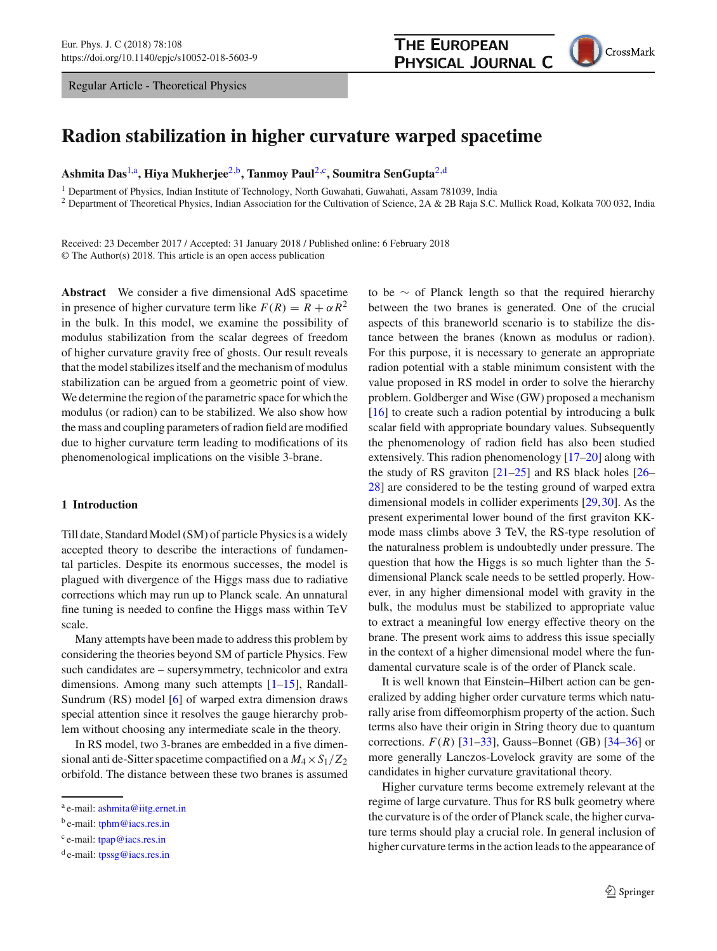Regular Article - Theoretical Physics

<span id="page-0-0"></span>

# **Radion stabilization in higher curvature warped spacetime**

**Ashmita Das**[1,](#page-0-0)a**, Hiya Mukherjee**[2,](#page-0-0)b**, Tanmoy Paul**[2,](#page-0-0)c**, Soumitra SenGupta**[2,](#page-0-0)d

<sup>1</sup> Department of Physics, Indian Institute of Technology, North Guwahati, Guwahati, Assam 781039, India

<sup>2</sup> Department of Theoretical Physics, Indian Association for the Cultivation of Science, 2A & 2B Raja S.C. Mullick Road, Kolkata 700 032, India

Received: 23 December 2017 / Accepted: 31 January 2018 / Published online: 6 February 2018 © The Author(s) 2018. This article is an open access publication

**Abstract** We consider a five dimensional AdS spacetime in presence of higher curvature term like  $F(R) = R + \alpha R^2$ in the bulk. In this model, we examine the possibility of modulus stabilization from the scalar degrees of freedom of higher curvature gravity free of ghosts. Our result reveals that the model stabilizes itself and the mechanism of modulus stabilization can be argued from a geometric point of view. We determine the region of the parametric space for which the modulus (or radion) can to be stabilized. We also show how the mass and coupling parameters of radion field are modified due to higher curvature term leading to modifications of its phenomenological implications on the visible 3-brane.

#### **1 Introduction**

Till date, Standard Model (SM) of particle Physics is a widely accepted theory to describe the interactions of fundamental particles. Despite its enormous successes, the model is plagued with divergence of the Higgs mass due to radiative corrections which may run up to Planck scale. An unnatural fine tuning is needed to confine the Higgs mass within TeV scale.

Many attempts have been made to address this problem by considering the theories beyond SM of particle Physics. Few such candidates are – supersymmetry, technicolor and extra dimensions. Among many such attempts [\[1](#page-9-0)[–15](#page-10-0)], Randall-Sundrum (RS) model [\[6\]](#page-10-1) of warped extra dimension draws special attention since it resolves the gauge hierarchy problem without choosing any intermediate scale in the theory.

In RS model, two 3-branes are embedded in a five dimensional anti de-Sitter spacetime compactified on a *M*4×*S*1/*Z*<sup>2</sup> orbifold. The distance between these two branes is assumed to be ∼ of Planck length so that the required hierarchy between the two branes is generated. One of the crucial aspects of this braneworld scenario is to stabilize the distance between the branes (known as modulus or radion). For this purpose, it is necessary to generate an appropriate radion potential with a stable minimum consistent with the value proposed in RS model in order to solve the hierarchy problem. Goldberger and Wise (GW) proposed a mechanism [\[16](#page-10-2)] to create such a radion potential by introducing a bulk scalar field with appropriate boundary values. Subsequently the phenomenology of radion field has also been studied extensively. This radion phenomenology [\[17](#page-10-3)[–20\]](#page-10-4) along with the study of RS graviton [\[21](#page-10-5)[–25\]](#page-10-6) and RS black holes [\[26](#page-10-7)– [28](#page-10-8)] are considered to be the testing ground of warped extra dimensional models in collider experiments [\[29,](#page-10-9)[30\]](#page-10-10). As the present experimental lower bound of the first graviton KKmode mass climbs above 3 TeV, the RS-type resolution of the naturalness problem is undoubtedly under pressure. The question that how the Higgs is so much lighter than the 5 dimensional Planck scale needs to be settled properly. However, in any higher dimensional model with gravity in the bulk, the modulus must be stabilized to appropriate value to extract a meaningful low energy effective theory on the brane. The present work aims to address this issue specially in the context of a higher dimensional model where the fundamental curvature scale is of the order of Planck scale.

It is well known that Einstein–Hilbert action can be generalized by adding higher order curvature terms which naturally arise from diffeomorphism property of the action. Such terms also have their origin in String theory due to quantum corrections.  $F(R)$  [\[31](#page-10-11)[–33](#page-10-12)], Gauss–Bonnet (GB) [\[34](#page-10-13)[–36\]](#page-10-14) or more generally Lanczos-Lovelock gravity are some of the candidates in higher curvature gravitational theory.

Higher curvature terms become extremely relevant at the regime of large curvature. Thus for RS bulk geometry where the curvature is of the order of Planck scale, the higher curvature terms should play a crucial role. In general inclusion of higher curvature terms in the action leads to the appearance of

<sup>a</sup> e-mail: [ashmita@iitg.ernet.in](mailto:ashmita@iitg.ernet.in)

 $<sup>b</sup>$  e-mail: [tphm@iacs.res.in](mailto:tphm@iacs.res.in)</sup>

<sup>c</sup> e-mail: [tpap@iacs.res.in](mailto:tpap@iacs.res.in)

 $d$  e-mail: [tpssg@iacs.res.in](mailto:tpssg@iacs.res.in)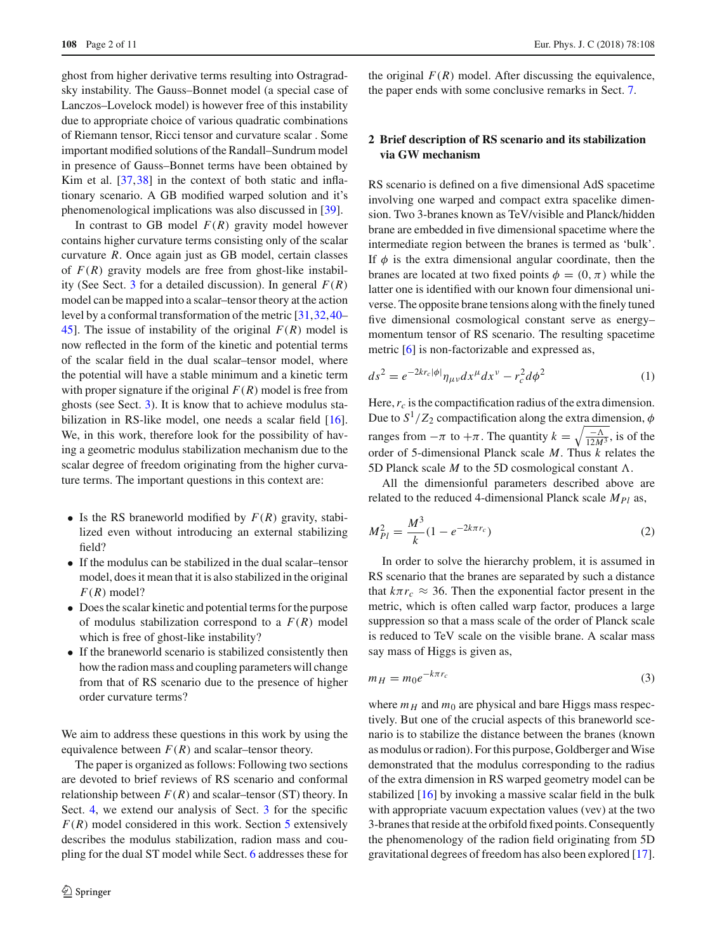ghost from higher derivative terms resulting into Ostragradsky instability. The Gauss–Bonnet model (a special case of Lanczos–Lovelock model) is however free of this instability due to appropriate choice of various quadratic combinations of Riemann tensor, Ricci tensor and curvature scalar . Some important modified solutions of the Randall–Sundrum model in presence of Gauss–Bonnet terms have been obtained by Kim et al. [\[37](#page-10-15),[38\]](#page-10-16) in the context of both static and inflationary scenario. A GB modified warped solution and it's phenomenological implications was also discussed in [\[39\]](#page-10-17).

In contrast to GB model  $F(R)$  gravity model however contains higher curvature terms consisting only of the scalar curvature *R*. Once again just as GB model, certain classes of  $F(R)$  gravity models are free from ghost-like instabil-ity (See Sect. [3](#page-2-0) for a detailed discussion). In general  $F(R)$ model can be mapped into a scalar–tensor theory at the action level by a conformal transformation of the metric [\[31,](#page-10-11)[32](#page-10-18)[,40](#page-10-19)– [45\]](#page-10-20). The issue of instability of the original  $F(R)$  model is now reflected in the form of the kinetic and potential terms of the scalar field in the dual scalar–tensor model, where the potential will have a stable minimum and a kinetic term with proper signature if the original  $F(R)$  model is free from ghosts (see Sect. [3\)](#page-2-0). It is know that to achieve modulus stabilization in RS-like model, one needs a scalar field [\[16](#page-10-2)]. We, in this work, therefore look for the possibility of having a geometric modulus stabilization mechanism due to the scalar degree of freedom originating from the higher curvature terms. The important questions in this context are:

- Is the RS braneworld modified by  $F(R)$  gravity, stabilized even without introducing an external stabilizing field?
- If the modulus can be stabilized in the dual scalar–tensor model, does it mean that it is also stabilized in the original  $F(R) \text{ model}$ ?
- Does the scalar kinetic and potential terms for the purpose of modulus stabilization correspond to a  $F(R)$  model which is free of ghost-like instability?
- If the braneworld scenario is stabilized consistently then how the radion mass and coupling parameters will change from that of RS scenario due to the presence of higher order curvature terms?

We aim to address these questions in this work by using the equivalence between  $F(R)$  and scalar–tensor theory.

The paper is organized as follows: Following two sections are devoted to brief reviews of RS scenario and conformal relationship between  $F(R)$  and scalar–tensor (ST) theory. In Sect. [4,](#page-2-1) we extend our analysis of Sect. [3](#page-2-0) for the specific  $F(R)$  model considered in this work. Section [5](#page-3-0) extensively describes the modulus stabilization, radion mass and coupling for the dual ST model while Sect. [6](#page-5-0) addresses these for

the original  $F(R)$  model. After discussing the equivalence, the paper ends with some conclusive remarks in Sect. [7.](#page-9-1)

# **2 Brief description of RS scenario and its stabilization via GW mechanism**

RS scenario is defined on a five dimensional AdS spacetime involving one warped and compact extra spacelike dimension. Two 3-branes known as TeV/visible and Planck/hidden brane are embedded in five dimensional spacetime where the intermediate region between the branes is termed as 'bulk'. If  $\phi$  is the extra dimensional angular coordinate, then the branes are located at two fixed points  $\phi = (0, \pi)$  while the latter one is identified with our known four dimensional universe. The opposite brane tensions along with the finely tuned five dimensional cosmological constant serve as energy– momentum tensor of RS scenario. The resulting spacetime metric [\[6](#page-10-1)] is non-factorizable and expressed as,

$$
ds^2 = e^{-2kr_c|\phi|} \eta_{\mu\nu} dx^\mu dx^\nu - r_c^2 d\phi^2 \tag{1}
$$

Here,  $r_c$  is the compactification radius of the extra dimension. Due to  $S^1/Z_2$  compactification along the extra dimension,  $\phi$ ranges from  $-\pi$  to  $+\pi$ . The quantity  $k = \sqrt{\frac{-\Lambda}{12M^3}}$ , is of the order of 5-dimensional Planck scale *M*. Thus *k* relates the 5D Planck scale  $M$  to the 5D cosmological constant  $\Lambda$ .

All the dimensionful parameters described above are related to the reduced 4-dimensional Planck scale *MPl* as,

$$
M_{Pl}^2 = \frac{M^3}{k} (1 - e^{-2k\pi r_c})
$$
 (2)

In order to solve the hierarchy problem, it is assumed in RS scenario that the branes are separated by such a distance that  $k\pi r_c \approx 36$ . Then the exponential factor present in the metric, which is often called warp factor, produces a large suppression so that a mass scale of the order of Planck scale is reduced to TeV scale on the visible brane. A scalar mass say mass of Higgs is given as,

$$
m_H = m_0 e^{-k\pi r_c} \tag{3}
$$

where  $m_H$  and  $m_0$  are physical and bare Higgs mass respectively. But one of the crucial aspects of this braneworld scenario is to stabilize the distance between the branes (known as modulus or radion). For this purpose, Goldberger and Wise demonstrated that the modulus corresponding to the radius of the extra dimension in RS warped geometry model can be stabilized [\[16](#page-10-2)] by invoking a massive scalar field in the bulk with appropriate vacuum expectation values (vev) at the two 3-branes that reside at the orbifold fixed points. Consequently the phenomenology of the radion field originating from 5D gravitational degrees of freedom has also been explored [\[17](#page-10-3)].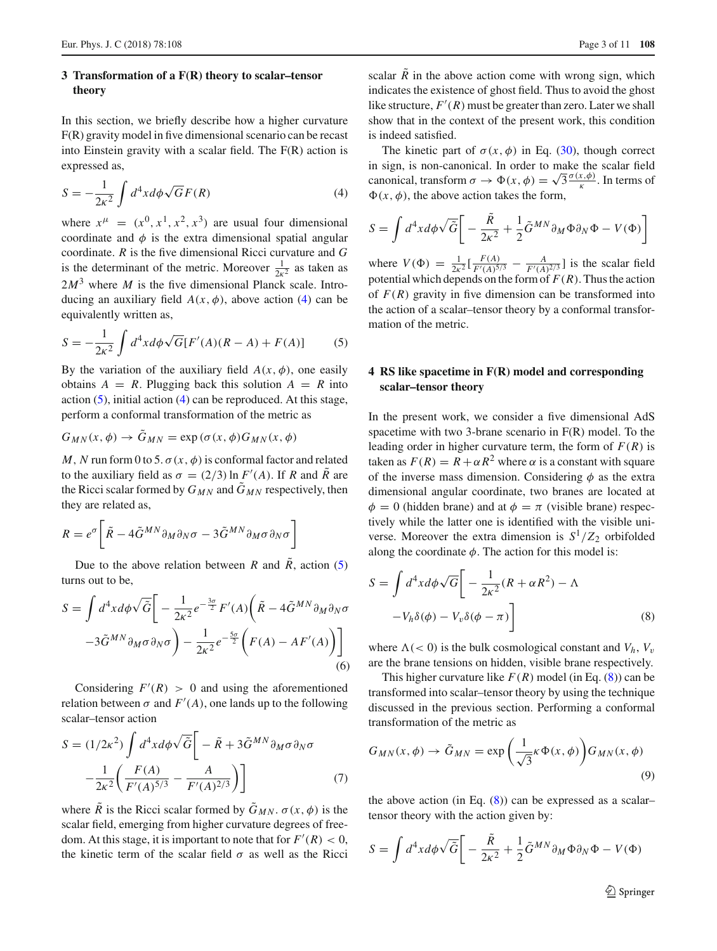### <span id="page-2-0"></span>**3 Transformation of a F(R) theory to scalar–tensor theory**

In this section, we briefly describe how a higher curvature F(R) gravity model in five dimensional scenario can be recast into Einstein gravity with a scalar field. The F(R) action is expressed as,

<span id="page-2-2"></span>
$$
S = -\frac{1}{2\kappa^2} \int d^4x d\phi \sqrt{G} F(R)
$$
 (4)

where  $x^{\mu} = (x^0, x^1, x^2, x^3)$  are usual four dimensional coordinate and  $\phi$  is the extra dimensional spatial angular coordinate. *R* is the five dimensional Ricci curvature and *G* is the determinant of the metric. Moreover  $\frac{1}{2\kappa^2}$  as taken as  $2M<sup>3</sup>$  where *M* is the five dimensional Planck scale. Introducing an auxiliary field  $A(x, \phi)$ , above action [\(4\)](#page-2-2) can be equivalently written as,

<span id="page-2-3"></span>
$$
S = -\frac{1}{2\kappa^2} \int d^4x d\phi \sqrt{G} [F'(A)(R - A) + F(A)] \tag{5}
$$

By the variation of the auxiliary field  $A(x, \phi)$ , one easily obtains  $A = R$ . Plugging back this solution  $A = R$  into action  $(5)$ , initial action  $(4)$  can be reproduced. At this stage, perform a conformal transformation of the metric as

$$
G_{MN}(x,\phi) \to \tilde{G}_{MN} = \exp\left(\sigma(x,\phi)G_{MN}(x,\phi)\right)
$$

*M*, *N* run form 0 to 5.  $\sigma(x, \phi)$  is conformal factor and related to the auxiliary field as  $\sigma = (2/3) \ln F'(A)$ . If *R* and *R* are the Ricci scalar formed by  $G_{MN}$  and  $\tilde{G}_{MN}$  respectively, then they are related as,

$$
R = e^{\sigma} \left[ \tilde{R} - 4 \tilde{G}^{MN} \partial_M \partial_N \sigma - 3 \tilde{G}^{MN} \partial_M \sigma \partial_N \sigma \right]
$$

Due to the above relation between *R* and  $\bar{R}$ , action [\(5\)](#page-2-3) turns out to be,

$$
S = \int d^4x d\phi \sqrt{\tilde{G}} \bigg[ -\frac{1}{2\kappa^2} e^{-\frac{3\sigma}{2}} F'(A) \bigg( \tilde{R} - 4 \tilde{G}^{MN} \partial_M \partial_N \sigma -3 \tilde{G}^{MN} \partial_M \sigma \partial_N \sigma \bigg) - \frac{1}{2\kappa^2} e^{-\frac{5\sigma}{2}} \bigg( F(A) - AF'(A) \bigg) \bigg]
$$
(6)

Considering  $F'(R) > 0$  and using the aforementioned relation between  $\sigma$  and  $F'(A)$ , one lands up to the following scalar–tensor action

$$
S = (1/2\kappa^2) \int d^4x d\phi \sqrt{\tilde{G}} \left[ -\tilde{R} + 3\tilde{G}^{MN} \partial_M \sigma \partial_N \sigma \right. -\frac{1}{2\kappa^2} \left( \frac{F(A)}{F'(A)^{5/3}} - \frac{A}{F'(A)^{2/3}} \right) \right]
$$
 (7)

where  $\tilde{R}$  is the Ricci scalar formed by  $\tilde{G}_{MN}$ .  $\sigma(x, \phi)$  is the scalar field, emerging from higher curvature degrees of freedom. At this stage, it is important to note that for  $F'(R) < 0$ , the kinetic term of the scalar field  $\sigma$  as well as the Ricci

scalar  $\tilde{R}$  in the above action come with wrong sign, which indicates the existence of ghost field. Thus to avoid the ghost like structure,  $F'(R)$  must be greater than zero. Later we shall show that in the context of the present work, this condition is indeed satisfied.

The kinetic part of  $\sigma(x, \phi)$  in Eq. [\(30\)](#page-4-0), though correct in sign, is non-canonical. In order to make the scalar field canonical, transform  $\sigma \to \Phi(x, \phi) = \sqrt{3} \frac{\sigma(x, \phi)}{k}$ . In terms of  $\Phi(x, \phi)$ , the above action takes the form,

$$
S = \int d^4x d\phi \sqrt{\tilde{G}} \bigg[ -\frac{\tilde{R}}{2\kappa^2} + \frac{1}{2} \tilde{G}^{MN} \partial_M \Phi \partial_N \Phi - V(\Phi) \bigg]
$$

where  $V(\Phi) = \frac{1}{2\kappa^2} \left[ \frac{F(A)}{F'(A)^{5/3}} - \frac{A}{F'(A)^{2/3}} \right]$  is the scalar field potential which depends on the form of  $F(R)$ . Thus the action of  $F(R)$  gravity in five dimension can be transformed into the action of a scalar–tensor theory by a conformal transformation of the metric.

# <span id="page-2-1"></span>**4 RS like spacetime in F(R) model and corresponding scalar–tensor theory**

In the present work, we consider a five dimensional AdS spacetime with two 3-brane scenario in F(R) model. To the leading order in higher curvature term, the form of  $F(R)$  is taken as  $F(R) = R + \alpha R^2$  where  $\alpha$  is a constant with square of the inverse mass dimension. Considering  $\phi$  as the extra dimensional angular coordinate, two branes are located at  $\phi = 0$  (hidden brane) and at  $\phi = \pi$  (visible brane) respectively while the latter one is identified with the visible universe. Moreover the extra dimension is  $S^1/Z_2$  orbifolded along the coordinate  $\phi$ . The action for this model is:

<span id="page-2-4"></span>
$$
S = \int d^4x d\phi \sqrt{G} \left[ -\frac{1}{2\kappa^2} (R + \alpha R^2) - \Lambda \right]
$$

$$
-V_h \delta(\phi) - V_v \delta(\phi - \pi) \right]
$$
(8)

where  $\Lambda$  (< 0) is the bulk cosmological constant and *V<sub>h</sub>*, *V<sub>v</sub>* are the brane tensions on hidden, visible brane respectively.

This higher curvature like  $F(R)$  model (in Eq. [\(8\)](#page-2-4)) can be transformed into scalar–tensor theory by using the technique discussed in the previous section. Performing a conformal transformation of the metric as

<span id="page-2-5"></span>
$$
G_{MN}(x,\phi) \to \tilde{G}_{MN} = \exp\left(\frac{1}{\sqrt{3}}\kappa \Phi(x,\phi)\right) G_{MN}(x,\phi)
$$
\n(9)

the above action (in Eq.  $(8)$ ) can be expressed as a scalar– tensor theory with the action given by:

$$
S = \int d^4x d\phi \sqrt{\tilde{G}} \bigg[ -\frac{\tilde{R}}{2\kappa^2} + \frac{1}{2} \tilde{G}^{MN} \partial_M \Phi \partial_N \Phi - V(\Phi)
$$

<sup>2</sup> Springer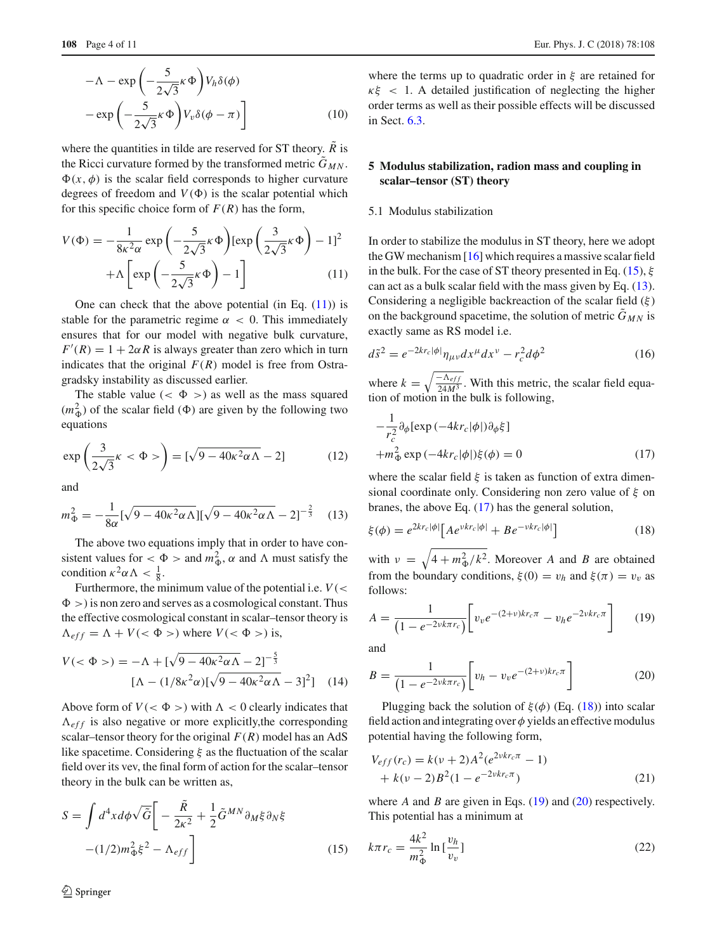$$
-\Lambda - \exp\left(-\frac{5}{2\sqrt{3}}\kappa\Phi\right) V_h \delta(\phi)
$$

$$
-\exp\left(-\frac{5}{2\sqrt{3}}\kappa\Phi\right) V_v \delta(\phi - \pi)\right]
$$
(10)

where the quantities in tilde are reserved for ST theory.  $\overline{R}$  is the Ricci curvature formed by the transformed metric  $\tilde{G}_{MN}$ .  $\Phi(x, \phi)$  is the scalar field corresponds to higher curvature degrees of freedom and  $V(\Phi)$  is the scalar potential which for this specific choice form of  $F(R)$  has the form,

<span id="page-3-1"></span>
$$
V(\Phi) = -\frac{1}{8\kappa^2 \alpha} \exp\left(-\frac{5}{2\sqrt{3}}\kappa \Phi\right) [\exp\left(\frac{3}{2\sqrt{3}}\kappa \Phi\right) - 1]^2 + \Lambda \left[\exp\left(-\frac{5}{2\sqrt{3}}\kappa \Phi\right) - 1\right]
$$
(11)

One can check that the above potential (in Eq.  $(11)$ ) is stable for the parametric regime  $\alpha < 0$ . This immediately ensures that for our model with negative bulk curvature,  $F'(R) = 1 + 2\alpha R$  is always greater than zero which in turn indicates that the original  $F(R)$  model is free from Ostragradsky instability as discussed earlier.

The stable value  $( $\Phi$  > as well as the mass squared$  $(m_{\Phi}^2)$  of the scalar field ( $\Phi$ ) are given by the following two equations

<span id="page-3-11"></span>
$$
\exp\left(\frac{3}{2\sqrt{3}}\kappa < \Phi > \right) = \left[\sqrt{9 - 40\kappa^2\alpha\Lambda} - 2\right] \tag{12}
$$

and

<span id="page-3-3"></span>
$$
m_{\Phi}^2 = -\frac{1}{8\alpha} [\sqrt{9 - 40\kappa^2 \alpha \Lambda}][\sqrt{9 - 40\kappa^2 \alpha \Lambda} - 2]^{-\frac{2}{3}} \quad (13)
$$

The above two equations imply that in order to have consistent values for  $<\Phi>$  and  $m_{\Phi}^2$ ,  $\alpha$  and  $\Lambda$  must satisfy the condition  $\kappa^2 \alpha \Lambda < \frac{1}{8}$ .

Furthermore, the minimum value of the potential i.e. *V*(<  $\Phi$  >) is non zero and serves as a cosmological constant. Thus the effective cosmological constant in scalar–tensor theory is  $\Lambda_{eff} = \Lambda + V \left( \langle \Phi \rangle \right)$  where  $V \left( \langle \Phi \rangle \right)$  is,

$$
V(<\Phi> ) = -\Lambda + [\sqrt{9 - 40\kappa^2 \alpha \Lambda} - 2]^{-\frac{5}{3}}
$$

$$
[\Lambda - (1/8\kappa^2 \alpha) [\sqrt{9 - 40\kappa^2 \alpha \Lambda} - 3]^2] \quad (14)
$$

Above form of  $V( $\Phi$  >) with  $\Lambda < 0$  clearly indicates that$  $\Lambda_{eff}$  is also negative or more explicitly, the corresponding scalar–tensor theory for the original  $F(R)$  model has an AdS like spacetime. Considering  $\xi$  as the fluctuation of the scalar field over its vev, the final form of action for the scalar–tensor theory in the bulk can be written as,

<span id="page-3-2"></span>
$$
S = \int d^4x d\phi \sqrt{\tilde{G}} \left[ -\frac{\tilde{R}}{2\kappa^2} + \frac{1}{2} \tilde{G}^{MN} \partial_M \xi \partial_N \xi \right] -(1/2)m_{\Phi}^2 \xi^2 - \Lambda_{eff} \right]
$$
 (15)

where the terms up to quadratic order in  $\xi$  are retained for  $\kappa \xi$  < 1. A detailed justification of neglecting the higher order terms as well as their possible effects will be discussed in Sect. [6.3.](#page-7-0)

## <span id="page-3-0"></span>**5 Modulus stabilization, radion mass and coupling in scalar–tensor (ST) theory**

#### 5.1 Modulus stabilization

In order to stabilize the modulus in ST theory, here we adopt the GW mechanism [\[16](#page-10-2)] which requires a massive scalar field in the bulk. For the case of ST theory presented in Eq. [\(15\)](#page-3-2),  $\xi$ can act as a bulk scalar field with the mass given by Eq. [\(13\)](#page-3-3). Considering a negligible backreaction of the scalar field  $(\xi)$ on the background spacetime, the solution of metric  $\tilde{G}_{MN}$  is exactly same as RS model i.e.

<span id="page-3-10"></span>
$$
d\tilde{s}^{2} = e^{-2kr_{c}|\phi|} \eta_{\mu\nu} dx^{\mu} dx^{\nu} - r_{c}^{2} d\phi^{2}
$$
 (16)

where  $k = \sqrt{\frac{-\Lambda_{eff}}{24M^3}}$ . With this metric, the scalar field equation of motion in the bulk is following,

<span id="page-3-4"></span>
$$
-\frac{1}{r_c^2} \partial_{\phi} [\exp(-4kr_c|\phi|)\partial_{\phi}\xi]
$$
  
+ $m_{\Phi}^2 \exp(-4kr_c|\phi|)\xi(\phi) = 0$  (17)

where the scalar field  $\xi$  is taken as function of extra dimensional coordinate only. Considering non zero value of  $\xi$  on branes, the above Eq. [\(17\)](#page-3-4) has the general solution,

<span id="page-3-5"></span>
$$
\xi(\phi) = e^{2kr_c|\phi|} \left[ A e^{vkr_c|\phi|} + B e^{-vkr_c|\phi|} \right]
$$
\n(18)

with  $v = \sqrt{4 + m_{\Phi}^2/k^2}$ . Moreover *A* and *B* are obtained from the boundary conditions,  $\xi(0) = v_h$  and  $\xi(\pi) = v_v$  as follows:

<span id="page-3-6"></span>
$$
A = \frac{1}{\left(1 - e^{-2\nu k \pi r_c}\right)} \left[ v_v e^{-(2+\nu)kr_c \pi} - v_h e^{-2\nu kr_c \pi} \right]
$$
(19)

and

<span id="page-3-7"></span>
$$
B = \frac{1}{\left(1 - e^{-2\nu k \pi r_c}\right)} \left[ v_h - v_v e^{-(2+\nu)kr_c \pi} \right] \tag{20}
$$

Plugging back the solution of  $\xi(\phi)$  (Eq. [\(18\)](#page-3-5)) into scalar field action and integrating over  $\phi$  yields an effective modulus potential having the following form,

<span id="page-3-9"></span>
$$
V_{eff}(r_c) = k(\nu + 2)A^2(e^{2\nu k r_c \pi} - 1) + k(\nu - 2)B^2(1 - e^{-2\nu k r_c \pi})
$$
\n(21)

where *A* and *B* are given in Eqs.  $(19)$  and  $(20)$  respectively. This potential has a minimum at

<span id="page-3-8"></span>
$$
k\pi r_c = \frac{4k^2}{m_\Phi^2} \ln\left[\frac{v_h}{v_v}\right]
$$
 (22)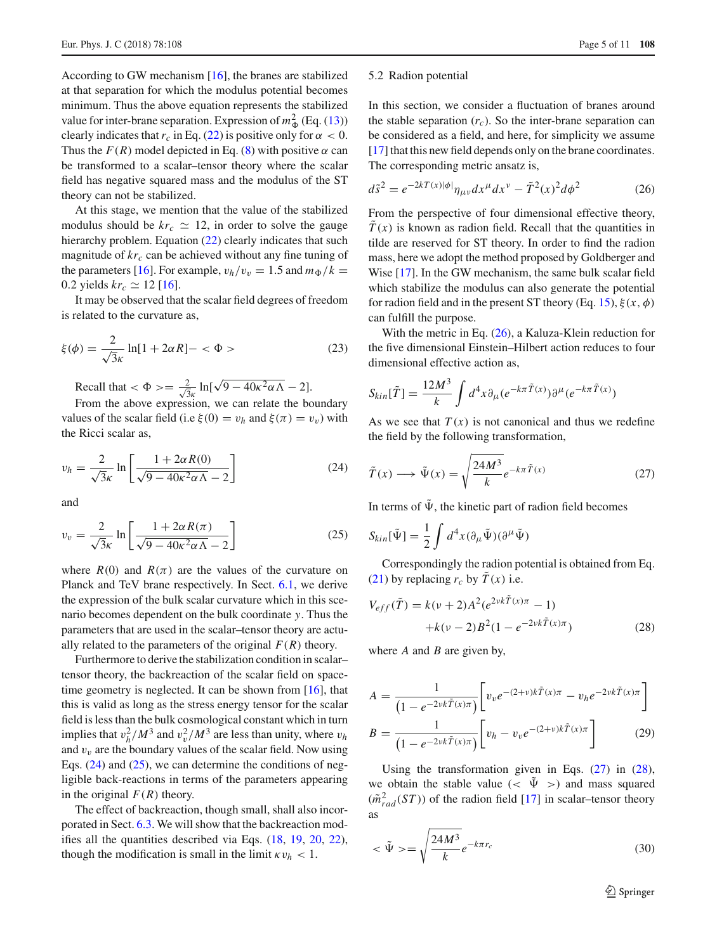According to GW mechanism [\[16](#page-10-2)], the branes are stabilized at that separation for which the modulus potential becomes minimum. Thus the above equation represents the stabilized value for inter-brane separation. Expression of  $m_{\Phi}^2$  (Eq. [\(13\)](#page-3-3)) clearly indicates that  $r_c$  in Eq. [\(22\)](#page-3-8) is positive only for  $\alpha < 0$ . Thus the  $F(R)$  model depicted in Eq. [\(8\)](#page-2-4) with positive  $\alpha$  can be transformed to a scalar–tensor theory where the scalar field has negative squared mass and the modulus of the ST theory can not be stabilized.

At this stage, we mention that the value of the stabilized modulus should be  $kr_c \simeq 12$ , in order to solve the gauge hierarchy problem. Equation [\(22\)](#page-3-8) clearly indicates that such magnitude of  $kr_c$  can be achieved without any fine tuning of the parameters [\[16](#page-10-2)]. For example,  $v_h/v_v = 1.5$  and  $m_\Phi/k =$ 0.2 yields  $kr_c \simeq 12$  [\[16\]](#page-10-2).

It may be observed that the scalar field degrees of freedom is related to the curvature as,

$$
\xi(\phi) = \frac{2}{\sqrt{3}\kappa} \ln[1 + 2\alpha R] - <\Phi> \tag{23}
$$

Recall that  $\langle \Phi \rangle = \frac{2}{\sqrt{3}\kappa} \ln[\sqrt{9 - 40\kappa^2 \alpha \Lambda} - 2].$ 

From the above expression, we can relate the boundary values of the scalar field (i.e  $\xi(0) = v_h$  and  $\xi(\pi) = v_v$ ) with the Ricci scalar as,

<span id="page-4-1"></span>
$$
v_h = \frac{2}{\sqrt{3}\kappa} \ln \left[ \frac{1 + 2\alpha R(0)}{\sqrt{9 - 40\kappa^2 \alpha \Lambda} - 2} \right]
$$
 (24)

and

<span id="page-4-2"></span>
$$
v_v = \frac{2}{\sqrt{3}\kappa} \ln \left[ \frac{1 + 2\alpha R(\pi)}{\sqrt{9 - 40\kappa^2 \alpha \Lambda} - 2} \right]
$$
 (25)

where  $R(0)$  and  $R(\pi)$  are the values of the curvature on Planck and TeV brane respectively. In Sect. [6.1,](#page-5-1) we derive the expression of the bulk scalar curvature which in this scenario becomes dependent on the bulk coordinate *y*. Thus the parameters that are used in the scalar–tensor theory are actually related to the parameters of the original  $F(R)$  theory.

Furthermore to derive the stabilization condition in scalar– tensor theory, the backreaction of the scalar field on space-time geometry is neglected. It can be shown from [\[16\]](#page-10-2), that this is valid as long as the stress energy tensor for the scalar field is less than the bulk cosmological constant which in turn implies that  $v_h^2/M^3$  and  $v_v^2/M^3$  are less than unity, where  $v_h$ and  $v<sub>v</sub>$  are the boundary values of the scalar field. Now using Eqs.  $(24)$  and  $(25)$ , we can determine the conditions of negligible back-reactions in terms of the parameters appearing in the original  $F(R)$  theory.

The effect of backreaction, though small, shall also incorporated in Sect. [6.3.](#page-7-0) We will show that the backreaction modifies all the quantities described via Eqs. [\(18,](#page-3-5) [19,](#page-3-6) [20,](#page-3-7) [22\)](#page-3-8), though the modification is small in the limit  $\kappa v_h < 1$ .

#### 5.2 Radion potential

In this section, we consider a fluctuation of branes around the stable separation  $(r_c)$ . So the inter-brane separation can be considered as a field, and here, for simplicity we assume [\[17](#page-10-3)] that this new field depends only on the brane coordinates. The corresponding metric ansatz is,

<span id="page-4-3"></span>
$$
d\tilde{s}^2 = e^{-2kT(x)|\phi|} \eta_{\mu\nu} dx^{\mu} dx^{\nu} - \tilde{T}^2(x)^2 d\phi^2
$$
 (26)

From the perspective of four dimensional effective theory,  $\tilde{T}(x)$  is known as radion field. Recall that the quantities in tilde are reserved for ST theory. In order to find the radion mass, here we adopt the method proposed by Goldberger and Wise [\[17\]](#page-10-3). In the GW mechanism, the same bulk scalar field which stabilize the modulus can also generate the potential for radion field and in the present ST theory (Eq. [15\)](#page-3-2),  $\xi(x, \phi)$ can fulfill the purpose.

With the metric in Eq. [\(26\)](#page-4-3), a Kaluza-Klein reduction for the five dimensional Einstein–Hilbert action reduces to four dimensional effective action as,

$$
S_{kin}[\tilde{T}] = \frac{12M^3}{k} \int d^4x \partial_\mu (e^{-k\pi \tilde{T}(x)}) \partial^\mu (e^{-k\pi \tilde{T}(x)})
$$

As we see that  $T(x)$  is not canonical and thus we redefine the field by the following transformation,

<span id="page-4-4"></span>
$$
\tilde{T}(x) \longrightarrow \tilde{\Psi}(x) = \sqrt{\frac{24M^3}{k}} e^{-k\pi \tilde{T}(x)}
$$
\n(27)

In terms of  $\tilde{\Psi}$ , the kinetic part of radion field becomes

$$
S_{kin}[\tilde{\Psi}] = \frac{1}{2} \int d^4x (\partial_\mu \tilde{\Psi}) (\partial^\mu \tilde{\Psi})
$$

Correspondingly the radion potential is obtained from Eq. [\(21\)](#page-3-9) by replacing  $r_c$  by  $\tilde{T}(x)$  i.e.

<span id="page-4-5"></span>
$$
V_{eff}(\tilde{T}) = k(\nu + 2)A^2(e^{2\nu k \tilde{T}(x)\pi} - 1) + k(\nu - 2)B^2(1 - e^{-2\nu k \tilde{T}(x)\pi})
$$
(28)

where *A* and *B* are given by,

$$
A = \frac{1}{\left(1 - e^{-2\nu k \tilde{T}(x)\pi}\right)} \left[ v_v e^{-(2+\nu)k \tilde{T}(x)\pi} - v_h e^{-2\nu k \tilde{T}(x)\pi} \right]
$$

$$
B = \frac{1}{\left(1 - e^{-2\nu k \tilde{T}(x)\pi}\right)} \left[ v_h - v_v e^{-(2+\nu)k \tilde{T}(x)\pi} \right]
$$
(29)

Using the transformation given in Eqs. [\(27\)](#page-4-4) in [\(28\)](#page-4-5), we obtain the stable value ( $\langle \Psi \rangle$ ) and mass squared  $(\tilde{m}^2_{rad}(ST))$  of the radion field [\[17](#page-10-3)] in scalar–tensor theory as

<span id="page-4-0"></span>
$$
\langle \tilde{\Psi} \rangle = \sqrt{\frac{24M^3}{k}} e^{-k\pi r_c} \tag{30}
$$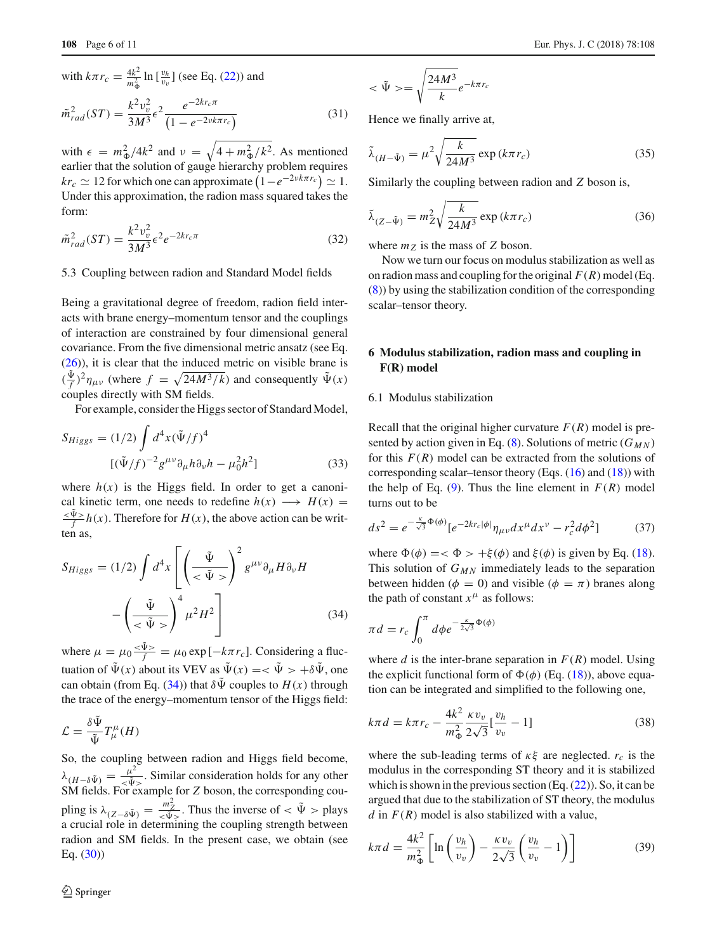with 
$$
k\pi r_c = \frac{4k^2}{m_{\Phi}^2} \ln \left[\frac{v_h}{v_v}\right]
$$
 (see Eq. (22)) and  
\n
$$
\tilde{m}_{rad}^2(ST) = \frac{k^2 v_v^2}{3M^3} \epsilon^2 \frac{e^{-2kr_c \pi}}{\left(1 - e^{-2\nu k \pi r_c}\right)}
$$
\n(31)

with  $\epsilon = m_{\Phi}^2/4k^2$  and  $\nu = \sqrt{4 + m_{\Phi}^2/k^2}$ . As mentioned earlier that the solution of gauge hierarchy problem requires  $kr_c \simeq 12$  for which one can approximate  $\left(1 - e^{-2\nu k\pi r_c}\right) \simeq 1$ . Under this approximation, the radion mass squared takes the form:

$$
\tilde{m}_{rad}^2(ST) = \frac{k^2 v_v^2}{3M^3} \epsilon^2 e^{-2kr_c \pi}
$$
\n(32)

5.3 Coupling between radion and Standard Model fields

Being a gravitational degree of freedom, radion field interacts with brane energy–momentum tensor and the couplings of interaction are constrained by four dimensional general covariance. From the five dimensional metric ansatz (see Eq. [\(26\)](#page-4-3)), it is clear that the induced metric on visible brane is  $(\frac{\Psi}{f})^2 \eta_{\mu\nu}$  (where  $f = \sqrt{24M^3/k}$ ) and consequently  $\tilde{\Psi}(x)$ couples directly with SM fields.

For example, consider the Higgs sector of Standard Model,

$$
S_{Higgs} = (1/2) \int d^4x (\tilde{\Psi}/f)^4
$$
  

$$
[(\tilde{\Psi}/f)^{-2} g^{\mu\nu} \partial_{\mu} h \partial_{\nu} h - \mu_0^2 h^2]
$$
 (33)

where  $h(x)$  is the Higgs field. In order to get a canonical kinetic term, one needs to redefine  $h(x) \longrightarrow H(x) = \frac{\sqrt{\Psi} > h(x)}{f}$ . Therefore for  $H(x)$ , the above action can be written as,

<span id="page-5-2"></span>
$$
S_{Higgs} = (1/2) \int d^4x \left[ \left( \frac{\tilde{\Psi}}{<\tilde{\Psi}>} \right)^2 g^{\mu\nu} \partial_{\mu} H \partial_{\nu} H - \left( \frac{\tilde{\Psi}}{<\tilde{\Psi}>} \right)^4 \mu^2 H^2 \right] \tag{34}
$$

where  $\mu = \mu_0 \frac{\langle \Psi \rangle}{f} = \mu_0 \exp[-k\pi r_c]$ . Considering a fluctuation of  $\tilde{\Psi}(x)$  about its VEV as  $\tilde{\Psi}(x) = \langle \tilde{\Psi} \rangle + \delta \tilde{\Psi}$ , one can obtain (from Eq. [\(34\)](#page-5-2)) that  $\delta \Psi$  couples to  $H(x)$  through the trace of the energy–momentum tensor of the Higgs field:

$$
\mathcal{L} = \frac{\delta \tilde{\Psi}}{\tilde{\Psi}} T^{\mu}_{\mu}(H)
$$

So, the coupling between radion and Higgs field become,  $\lambda_{(H-\delta \tilde{\Psi})} = \frac{\mu^2}{<\tilde{\Psi}>}$ . Similar consideration holds for any other SM fields. For example for *Z* boson, the corresponding coupling is  $\lambda_{(Z-\delta\Psi)} = \frac{m_Z^2}{<\Psi>}.$  Thus the inverse of  $<\Psi>$  plays a crucial role in determining the coupling strength between radion and SM fields. In the present case, we obtain (see Eq. [\(30\)](#page-4-0))

$$
\langle \tilde{\Psi} \rangle = \sqrt{\frac{24M^3}{k}} e^{-k\pi r_c}
$$

Hence we finally arrive at,

$$
\tilde{\lambda}_{(H-\tilde{\Psi})} = \mu^2 \sqrt{\frac{k}{24M^3}} \exp\left(k\pi r_c\right) \tag{35}
$$

Similarly the coupling between radion and *Z* boson is,

$$
\tilde{\lambda}_{(Z-\tilde{\Psi})} = m_Z^2 \sqrt{\frac{k}{24M^3}} \exp\left(k\pi r_c\right) \tag{36}
$$

where  $m_Z$  is the mass of *Z* boson.

Now we turn our focus on modulus stabilization as well as on radion mass and coupling for the original  $F(R)$  model (Eq. [\(8\)](#page-2-4)) by using the stabilization condition of the corresponding scalar–tensor theory.

# <span id="page-5-0"></span>**6 Modulus stabilization, radion mass and coupling in F(R) model**

#### <span id="page-5-1"></span>6.1 Modulus stabilization

Recall that the original higher curvature  $F(R)$  model is pre-sented by action given in Eq. [\(8\)](#page-2-4). Solutions of metric ( $G_{MN}$ ) for this  $F(R)$  model can be extracted from the solutions of corresponding scalar–tensor theory (Eqs.  $(16)$  and  $(18)$ ) with the help of Eq. [\(9\)](#page-2-5). Thus the line element in  $F(R)$  model turns out to be

<span id="page-5-4"></span>
$$
ds^{2} = e^{-\frac{\kappa}{\sqrt{3}}\Phi(\phi)} [e^{-2kr_{c}|\phi|} \eta_{\mu\nu} dx^{\mu} dx^{\nu} - r_{c}^{2} d\phi^{2}]
$$
 (37)

where  $\Phi(\phi) = \langle \Phi \rangle + \xi(\phi)$  and  $\xi(\phi)$  is given by Eq. [\(18\)](#page-3-5). This solution of  $G_{MN}$  immediately leads to the separation between hidden ( $\phi = 0$ ) and visible ( $\phi = \pi$ ) branes along the path of constant  $x^{\mu}$  as follows:

$$
\pi d = r_c \int_0^{\pi} d\phi e^{-\frac{\kappa}{2\sqrt{3}}\Phi(\phi)}
$$

where *d* is the inter-brane separation in  $F(R)$  model. Using the explicit functional form of  $\Phi(\phi)$  (Eq. [\(18\)](#page-3-5)), above equation can be integrated and simplified to the following one,

$$
k\pi d = k\pi r_c - \frac{4k^2}{m_{\Phi}^2} \frac{\kappa v_v}{2\sqrt{3}} \left[\frac{v_h}{v_v} - 1\right]
$$
 (38)

where the sub-leading terms of  $\kappa \xi$  are neglected.  $r_c$  is the modulus in the corresponding ST theory and it is stabilized which is shown in the previous section  $(Eq. (22))$  $(Eq. (22))$  $(Eq. (22))$ . So, it can be argued that due to the stabilization of ST theory, the modulus *d* in  $F(R)$  model is also stabilized with a value,

<span id="page-5-3"></span>
$$
k\pi d = \frac{4k^2}{m_{\Phi}^2} \left[ \ln\left(\frac{v_h}{v_v}\right) - \frac{\kappa v_v}{2\sqrt{3}} \left(\frac{v_h}{v_v} - 1\right) \right]
$$
(39)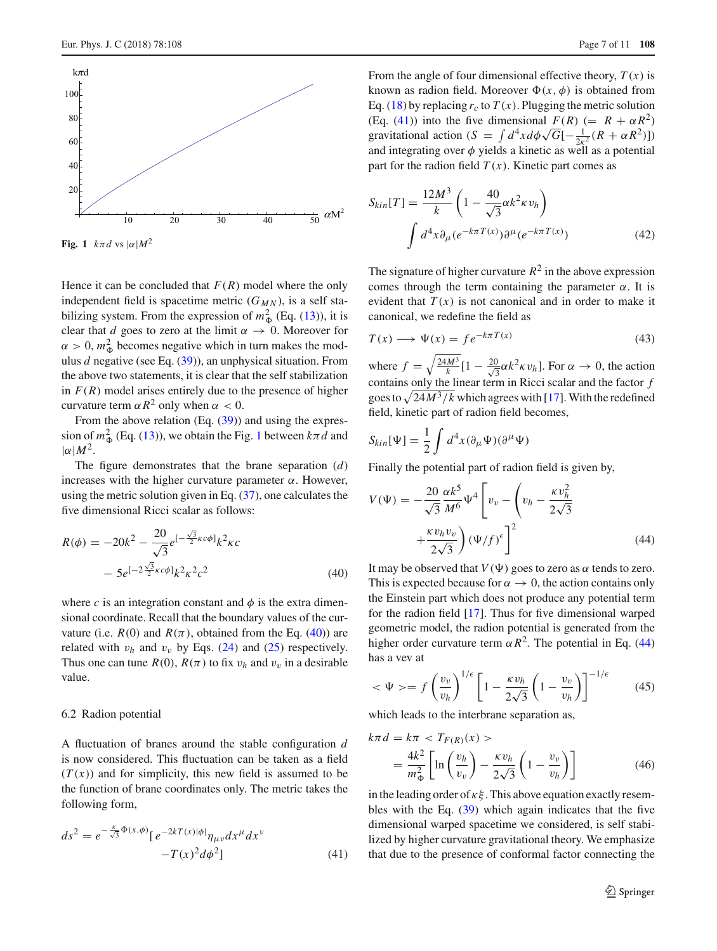



<span id="page-6-0"></span>**Fig.** 1  $k \pi d$  vs  $|\alpha| M^2$ 

Hence it can be concluded that  $F(R)$  model where the only independent field is spacetime metric  $(G_{MN})$ , is a self stabilizing system. From the expression of  $m^2_{\Phi}$  (Eq. [\(13\)](#page-3-3)), it is clear that *d* goes to zero at the limit  $\alpha \rightarrow 0$ . Moreover for  $\alpha > 0$ ,  $m_{\Phi}^2$  becomes negative which in turn makes the modulus *d* negative (see Eq. [\(39\)](#page-5-3)), an unphysical situation. From the above two statements, it is clear that the self stabilization in  $F(R)$  model arises entirely due to the presence of higher curvature term  $\alpha R^2$  only when  $\alpha < 0$ .

From the above relation (Eq.  $(39)$ ) and using the expression of  $m_{\Phi}^2$  (Eq. [\(13\)](#page-3-3)), we obtain the Fig. [1](#page-6-0) between  $k\pi d$  and  $|\alpha| M^2$ .

The figure demonstrates that the brane separation (*d*) increases with the higher curvature parameter α. However, using the metric solution given in Eq.  $(37)$ , one calculates the five dimensional Ricci scalar as follows:

<span id="page-6-1"></span>
$$
R(\phi) = -20k^2 - \frac{20}{\sqrt{3}}e^{-\frac{\sqrt{3}}{2}\kappa c\phi}k^2\kappa c
$$

$$
-5e^{-\frac{\sqrt{3}}{2}\kappa c\phi}k^2\kappa^2 c^2
$$
(40)

where *c* is an integration constant and  $\phi$  is the extra dimensional coordinate. Recall that the boundary values of the curvature (i.e.  $R(0)$  and  $R(\pi)$ , obtained from the Eq. [\(40\)](#page-6-1)) are related with  $v_h$  and  $v_v$  by Eqs. [\(24\)](#page-4-1) and [\(25\)](#page-4-2) respectively. Thus one can tune  $R(0)$ ,  $R(\pi)$  to fix  $v_h$  and  $v_v$  in a desirable value.

#### 6.2 Radion potential

A fluctuation of branes around the stable configuration *d* is now considered. This fluctuation can be taken as a field  $(T(x))$  and for simplicity, this new field is assumed to be the function of brane coordinates only. The metric takes the following form,

<span id="page-6-2"></span>
$$
ds^{2} = e^{-\frac{\kappa}{\sqrt{3}}\Phi(x,\phi)} [e^{-2kT(x)|\phi|} \eta_{\mu\nu} dx^{\mu} dx^{\nu} - T(x)^{2} d\phi^{2}]
$$
\n(41)

From the angle of four dimensional effective theory,  $T(x)$  is known as radion field. Moreover  $\Phi(x, \phi)$  is obtained from Eq. [\(18\)](#page-3-5) by replacing  $r_c$  to  $T(x)$ . Plugging the metric solution (Eq. [\(41\)](#page-6-2)) into the five dimensional  $F(R)$  (=  $R + \alpha R^2$ ) gravitational action (*S* =  $\int d^4x d\phi \sqrt{G}[-\frac{1}{2\kappa^2}(R + \alpha R^2)]$ ) and integrating over  $\phi$  yields a kinetic as well as a potential part for the radion field  $T(x)$ . Kinetic part comes as

$$
S_{kin}[T] = \frac{12M^3}{k} \left( 1 - \frac{40}{\sqrt{3}} \alpha k^2 \kappa v_h \right)
$$

$$
\int d^4 x \partial_\mu (e^{-k\pi T(x)}) \partial^\mu (e^{-k\pi T(x)}) \tag{42}
$$

The signature of higher curvature  $R^2$  in the above expression comes through the term containing the parameter  $\alpha$ . It is evident that  $T(x)$  is not canonical and in order to make it canonical, we redefine the field as

$$
T(x) \longrightarrow \Psi(x) = f e^{-k\pi T(x)} \tag{43}
$$

where  $f = \sqrt{\frac{24M^3}{k}} [1 - \frac{20}{\sqrt{s}}]$  $\frac{0}{3}\alpha k^2 \kappa v_h$ ]. For  $\alpha \to 0$ , the action contains only the linear term in Ricci scalar and the factor *f* goes to  $\sqrt{\frac{24M^3}{k}}$  which agrees with [\[17](#page-10-3)]. With the redefined field, kinetic part of radion field becomes,

$$
S_{kin}[\Psi] = \frac{1}{2} \int d^4x (\partial_\mu \Psi)(\partial^\mu \Psi)
$$

Finally the potential part of radion field is given by,

<span id="page-6-3"></span>
$$
V(\Psi) = -\frac{20}{\sqrt{3}} \frac{\alpha k^5}{M^6} \Psi^4 \left[ v_v - \left( v_h - \frac{\kappa v_h^2}{2\sqrt{3}} + \frac{\kappa v_h v_v}{2\sqrt{3}} \right) (\Psi/f)^{\epsilon} \right]^2
$$
(44)

It may be observed that  $V(\Psi)$  goes to zero as  $\alpha$  tends to zero. This is expected because for  $\alpha \to 0$ , the action contains only the Einstein part which does not produce any potential term for the radion field [\[17\]](#page-10-3). Thus for five dimensional warped geometric model, the radion potential is generated from the higher order curvature term  $\alpha R^2$ . The potential in Eq. [\(44\)](#page-6-3) has a vev at

$$
\langle \Psi \rangle = f \left( \frac{v_v}{v_h} \right)^{1/\epsilon} \left[ 1 - \frac{\kappa v_h}{2\sqrt{3}} \left( 1 - \frac{v_v}{v_h} \right) \right]^{-1/\epsilon} \tag{45}
$$

which leads to the interbrane separation as,

<span id="page-6-4"></span>
$$
k\pi d = k\pi < T_{F(R)}(x) >
$$
  
= 
$$
\frac{4k^2}{m_{\Phi}^2} \left[ \ln \left( \frac{v_h}{v_v} \right) - \frac{\kappa v_h}{2\sqrt{3}} \left( 1 - \frac{v_v}{v_h} \right) \right]
$$
(46)

in the leading order of  $\kappa \xi$ . This above equation exactly resembles with the Eq. [\(39\)](#page-5-3) which again indicates that the five dimensional warped spacetime we considered, is self stabilized by higher curvature gravitational theory. We emphasize that due to the presence of conformal factor connecting the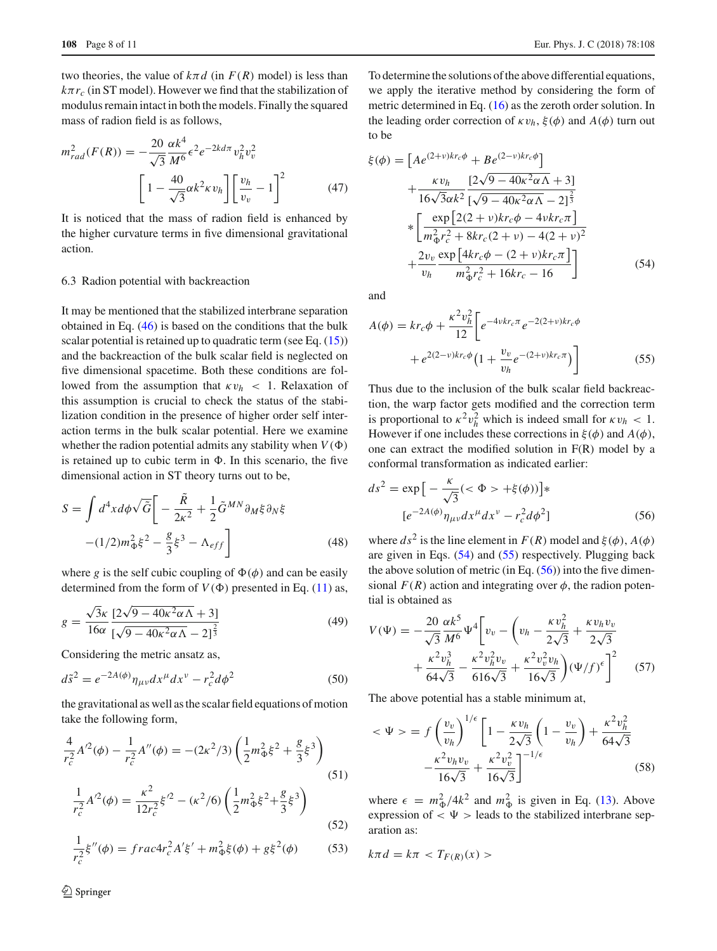two theories, the value of  $k \pi d$  (in  $F(R)$  model) is less than  $k\pi r_c$  (in ST model). However we find that the stabilization of modulus remain intact in both the models. Finally the squared mass of radion field is as follows,

<span id="page-7-5"></span>
$$
m_{rad}^2(F(R)) = -\frac{20}{\sqrt{3}} \frac{\alpha k^4}{M^6} \epsilon^2 e^{-2k d\pi} v_h^2 v_v^2
$$

$$
\left[1 - \frac{40}{\sqrt{3}} \alpha k^2 \kappa v_h\right] \left[\frac{v_h}{v_v} - 1\right]^2 \tag{47}
$$

It is noticed that the mass of radion field is enhanced by the higher curvature terms in five dimensional gravitational action.

#### <span id="page-7-0"></span>6.3 Radion potential with backreaction

It may be mentioned that the stabilized interbrane separation obtained in Eq. [\(46\)](#page-6-4) is based on the conditions that the bulk scalar potential is retained up to quadratic term (see Eq. [\(15\)](#page-3-2)) and the backreaction of the bulk scalar field is neglected on five dimensional spacetime. Both these conditions are followed from the assumption that  $\kappa v_h$  < 1. Relaxation of this assumption is crucial to check the status of the stabilization condition in the presence of higher order self interaction terms in the bulk scalar potential. Here we examine whether the radion potential admits any stability when  $V(\Phi)$ is retained up to cubic term in  $\Phi$ . In this scenario, the five dimensional action in ST theory turns out to be,

$$
S = \int d^4x d\phi \sqrt{\tilde{G}} \left[ -\frac{\tilde{R}}{2\kappa^2} + \frac{1}{2} \tilde{G}^{MN} \partial_M \xi \partial_N \xi \right]
$$

$$
-(1/2)m_{\Phi}^2 \xi^2 - \frac{g}{3} \xi^3 - \Lambda_{eff} \right]
$$
(48)

where *g* is the self cubic coupling of  $\Phi(\phi)$  and can be easily determined from the form of  $V(\Phi)$  presented in Eq. [\(11\)](#page-3-1) as,

$$
g = \frac{\sqrt{3}\kappa}{16\alpha} \frac{[2\sqrt{9 - 40\kappa^2 \alpha \Lambda} + 3]}{[\sqrt{9 - 40\kappa^2 \alpha \Lambda} - 2]^{\frac{2}{3}}}
$$
(49)

Considering the metric ansatz as,

$$
d\tilde{s}^2 = e^{-2A(\phi)} \eta_{\mu\nu} dx^{\mu} dx^{\nu} - r_c^2 d\phi^2
$$
 (50)

the gravitational as well as the scalar field equations of motion take the following form,

$$
\frac{4}{r_c^2}A'^2(\phi) - \frac{1}{r_c^2}A''(\phi) = -(2\kappa^2/3)\left(\frac{1}{2}m_{\Phi}^2\xi^2 + \frac{g}{3}\xi^3\right)
$$
\n(51)

$$
\frac{1}{r_c^2}A'^2(\phi) = \frac{\kappa^2}{12r_c^2}\xi'^2 - (\kappa^2/6)\left(\frac{1}{2}m_{\Phi}^2\xi^2 + \frac{g}{3}\xi^3\right)
$$
(52)

$$
\frac{1}{r_c^2}\xi''(\phi) = \frac{frac4r^2A'\xi' + m_{\Phi}^2\xi(\phi) + g\xi^2(\phi)}{(53)}
$$

<sup>2</sup> Springer

To determine the solutions of the above differential equations, we apply the iterative method by considering the form of metric determined in Eq. [\(16\)](#page-3-10) as the zeroth order solution. In the leading order correction of  $\kappa v_h$ ,  $\xi(\phi)$  and  $A(\phi)$  turn out to be

<span id="page-7-1"></span>
$$
\xi(\phi) = \left[ Ae^{(2+\nu)kr_c\phi} + Be^{(2-\nu)kr_c\phi} \right] \n+ \frac{\kappa v_h}{16\sqrt{3}\alpha k^2} \frac{\left[2\sqrt{9 - 40\kappa^2\alpha\Lambda} + 3\right]}{\left[\sqrt{9 - 40\kappa^2\alpha\Lambda} - 2\right]^{\frac{2}{3}} \n* \left[ \frac{\exp\left[2(2+\nu)kr_c\phi - 4\nu kr_c\pi\right]}{m_\Phi^2 r_c^2 + 8kr_c(2+\nu) - 4(2+\nu)^2} + \frac{2v_v}{v_h} \frac{\exp\left[4kr_c\phi - (2+\nu)kr_c\pi\right]}{m_\Phi^2 r_c^2 + 16kr_c - 16} \right]
$$
\n(54)

and

<span id="page-7-2"></span>
$$
A(\phi) = kr_c \phi + \frac{\kappa^2 v_h^2}{12} \bigg[ e^{-4\nu kr_c \pi} e^{-2(2+\nu)kr_c \phi} + e^{2(2-\nu)kr_c \phi} \big( 1 + \frac{v_v}{v_h} e^{-(2+\nu)kr_c \pi} \big) \bigg]
$$
(55)

Thus due to the inclusion of the bulk scalar field backreaction, the warp factor gets modified and the correction term is proportional to  $\kappa^2 v_h^2$  which is indeed small for  $\kappa v_h < 1$ . However if one includes these corrections in  $\xi(\phi)$  and  $A(\phi)$ , one can extract the modified solution in F(R) model by a conformal transformation as indicated earlier:

<span id="page-7-3"></span>
$$
ds^{2} = \exp\left[-\frac{\kappa}{\sqrt{3}}(<\Phi> + \xi(\phi))\right] * [e^{-2A(\phi)}\eta_{\mu\nu}dx^{\mu}dx^{\nu} - r_{c}^{2}d\phi^{2}]
$$
 (56)

where  $ds^2$  is the line element in  $F(R)$  model and  $\xi(\phi)$ ,  $A(\phi)$ are given in Eqs. [\(54\)](#page-7-1) and [\(55\)](#page-7-2) respectively. Plugging back the above solution of metric (in Eq.  $(56)$ ) into the five dimensional  $F(R)$  action and integrating over  $\phi$ , the radion potential is obtained as

$$
V(\Psi) = -\frac{20}{\sqrt{3}} \frac{\alpha k^5}{M^6} \Psi^4 \bigg[ v_v - \bigg( v_h - \frac{\kappa v_h^2}{2\sqrt{3}} + \frac{\kappa v_h v_v}{2\sqrt{3}} + \frac{\kappa^2 v_h^3}{64\sqrt{3}} - \frac{\kappa^2 v_h^2 v_v}{616\sqrt{3}} + \frac{\kappa^2 v_v^2 v_h}{16\sqrt{3}} \bigg) (\Psi/f)^{\epsilon} \bigg]^2 \tag{57}
$$

The above potential has a stable minimum at,

$$
\langle \Psi \rangle = f \left( \frac{v_v}{v_h} \right)^{1/\epsilon} \left[ 1 - \frac{\kappa v_h}{2\sqrt{3}} \left( 1 - \frac{v_v}{v_h} \right) + \frac{\kappa^2 v_h^2}{64\sqrt{3}} - \frac{\kappa^2 v_h v_v}{16\sqrt{3}} + \frac{\kappa^2 v_v^2}{16\sqrt{3}} \right]^{-1/\epsilon}
$$
(58)

where  $\epsilon = m_{\Phi}^2/4k^2$  and  $m_{\Phi}^2$  is given in Eq. [\(13\)](#page-3-3). Above expression of  $\langle \Psi \rangle$  leads to the stabilized interbrane separation as:

<span id="page-7-4"></span>
$$
k\pi d = k\pi < T_{F(R)}(x) >
$$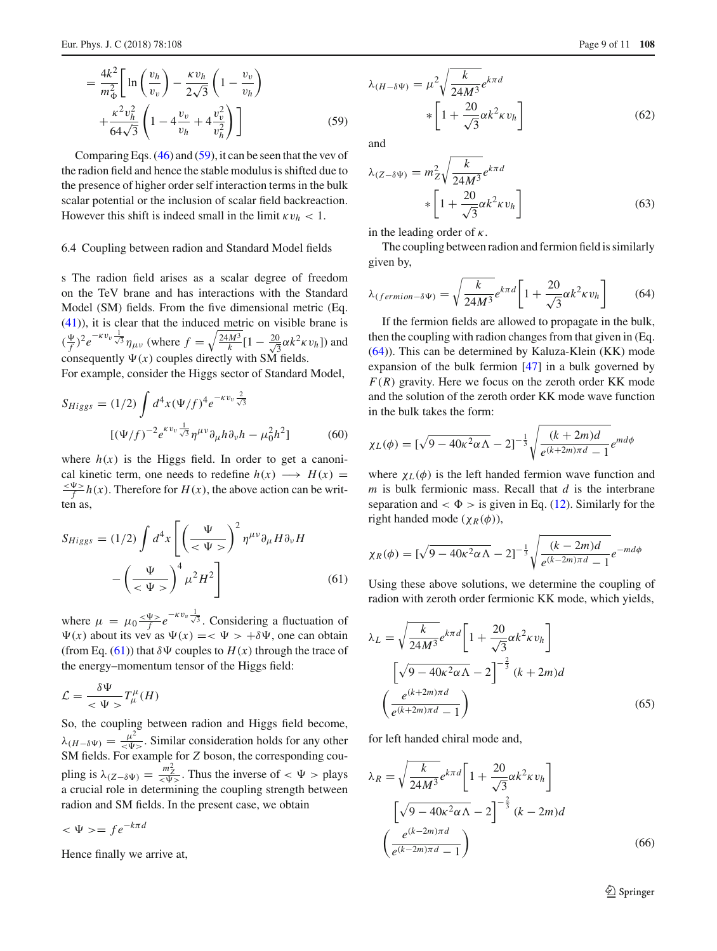$$
= \frac{4k^2}{m_{\Phi}^2} \left[ \ln \left( \frac{v_h}{v_v} \right) - \frac{\kappa v_h}{2\sqrt{3}} \left( 1 - \frac{v_v}{v_h} \right) + \frac{\kappa^2 v_h^2}{64\sqrt{3}} \left( 1 - 4 \frac{v_v}{v_h} + 4 \frac{v_v^2}{v_h^2} \right) \right]
$$
(59)

Comparing Eqs.  $(46)$  and  $(59)$ , it can be seen that the vev of the radion field and hence the stable modulus is shifted due to the presence of higher order self interaction terms in the bulk scalar potential or the inclusion of scalar field backreaction. However this shift is indeed small in the limit  $\kappa v_h < 1$ .

#### 6.4 Coupling between radion and Standard Model fields

s The radion field arises as a scalar degree of freedom on the TeV brane and has interactions with the Standard Model (SM) fields. From the five dimensional metric (Eq. [\(41\)](#page-6-2)), it is clear that the induced metric on visible brane is  $(\frac{\Psi}{f})^2 e^{-\kappa v_v} \frac{1}{\sqrt{3}} \eta_{\mu\nu}$  (where  $f = \sqrt{\frac{24M^3}{k}} [1 - \frac{20}{\sqrt{3}}]$  $\frac{0}{3}\alpha k^2 \kappa v_h]$ ) and consequently  $\Psi(x)$  couples directly with SM fields.

For example, consider the Higgs sector of Standard Model,

$$
S_{Higgs} = (1/2) \int d^4x (\Psi/f)^4 e^{-\kappa v_v \frac{2}{\sqrt{3}}}
$$

$$
[(\Psi/f)^{-2} e^{\kappa v_v \frac{1}{\sqrt{3}}} \eta^{\mu\nu} \partial_{\mu} h \partial_{\nu} h - \mu_0^2 h^2]
$$
(60)

where  $h(x)$  is the Higgs field. In order to get a canonical kinetic term, one needs to redefine  $h(x) \longrightarrow H(x) =$  $\frac{\langle \Psi \rangle}{f} h(x)$ . Therefore for  $H(x)$ , the above action can be written as,

<span id="page-8-0"></span>
$$
S_{Higgs} = (1/2) \int d^4x \left[ \left( \frac{\Psi}{<\Psi>} \right)^2 \eta^{\mu\nu} \partial_\mu H \partial_\nu H - \left( \frac{\Psi}{<\Psi>} \right)^4 \mu^2 H^2 \right] \tag{61}
$$

where  $\mu = \mu_0 \frac{\langle \Psi \rangle}{f} e^{-\kappa v_v \frac{1}{\sqrt{3}}}.$  Considering a fluctuation of  $\Psi(x)$  about its vev as  $\Psi(x) = \langle \Psi \rangle + \delta \Psi$ , one can obtain (from Eq. [\(61\)](#page-8-0)) that  $\delta \Psi$  couples to  $H(x)$  through the trace of the energy–momentum tensor of the Higgs field:

$$
\mathcal{L} = \frac{\delta \Psi}{\langle \Psi \rangle} T^{\mu}_{\mu}(H)
$$

So, the coupling between radion and Higgs field become,  $\lambda_{(H-\delta\Psi)} = \frac{\mu^2}{\leq \Psi^2}$ . Similar consideration holds for any other SM fields. For example for *Z* boson, the corresponding coupling is  $\lambda_{(Z-\delta\Psi)} = \frac{m_Z^2}{\langle \Psi \rangle}$ . Thus the inverse of  $\langle \Psi \rangle$  plays a crucial role in determining the coupling strength between radion and SM fields. In the present case, we obtain

 $<\Psi> = fe^{-k\pi d}$ 

Hence finally we arrive at,

<span id="page-8-2"></span>
$$
\lambda_{(H-\delta\Psi)} = \mu^2 \sqrt{\frac{k}{24M^3}} e^{k\pi d}
$$

$$
* \left[ 1 + \frac{20}{\sqrt{3}} \alpha k^2 \kappa v_h \right]
$$
(62)

and

<span id="page-8-3"></span>
$$
\lambda_{(Z-\delta\Psi)} = m_Z^2 \sqrt{\frac{k}{24M^3}} e^{k\pi d}
$$

$$
* \left[ 1 + \frac{20}{\sqrt{3}} \alpha k^2 \kappa v_h \right]
$$
(63)

in the leading order of  $\kappa$ .

The coupling between radion and fermion field is similarly given by,

<span id="page-8-1"></span>
$$
\lambda_{(fermion - \delta \Psi)} = \sqrt{\frac{k}{24M^3}} e^{k\pi d} \left[ 1 + \frac{20}{\sqrt{3}} \alpha k^2 \kappa v_h \right]
$$
(64)

If the fermion fields are allowed to propagate in the bulk, then the coupling with radion changes from that given in (Eq. [\(64\)](#page-8-1)). This can be determined by Kaluza-Klein (KK) mode expansion of the bulk fermion [\[47\]](#page-10-21) in a bulk governed by  $F(R)$  gravity. Here we focus on the zeroth order KK mode and the solution of the zeroth order KK mode wave function in the bulk takes the form:

$$
\chi_L(\phi) = \left[\sqrt{9 - 40\kappa^2 \alpha \Lambda} - 2\right]^{-\frac{1}{3}} \sqrt{\frac{(k + 2m)d}{e^{(k + 2m)\pi d} - 1}} e^{md\phi}
$$

where  $\chi_L(\phi)$  is the left handed fermion wave function and *m* is bulk fermionic mass. Recall that *d* is the interbrane separation and  $< \Phi >$  is given in Eq. [\(12\)](#page-3-11). Similarly for the right handed mode ( $\chi_R(\phi)$ ),

$$
\chi_R(\phi) = \left[\sqrt{9 - 40\kappa^2 \alpha \Lambda} - 2\right]^{-\frac{1}{3}} \sqrt{\frac{(k - 2m)d}{e^{(k - 2m)\pi d} - 1}} e^{-md\phi}
$$

Using these above solutions, we determine the coupling of radion with zeroth order fermionic KK mode, which yields,

$$
\lambda_L = \sqrt{\frac{k}{24M^3}} e^{k\pi d} \left[ 1 + \frac{20}{\sqrt{3}} \alpha k^2 \kappa v_h \right]
$$

$$
\left[ \sqrt{9 - 40\kappa^2 \alpha \Lambda} - 2 \right]^{-\frac{2}{3}} (k + 2m)d
$$

$$
\left( \frac{e^{(k+2m)\pi d}}{e^{(k+2m)\pi d} - 1} \right)
$$
(65)

for left handed chiral mode and,

$$
\lambda_R = \sqrt{\frac{k}{24M^3}} e^{k\pi d} \left[ 1 + \frac{20}{\sqrt{3}} \alpha k^2 \kappa v_h \right]
$$

$$
\left[ \sqrt{9 - 40\kappa^2 \alpha \Lambda} - 2 \right]^{-\frac{2}{3}} (k - 2m)d
$$

$$
\left( \frac{e^{(k - 2m)\pi d}}{e^{(k - 2m)\pi d} - 1} \right)
$$
(66)

<sup>2</sup> Springer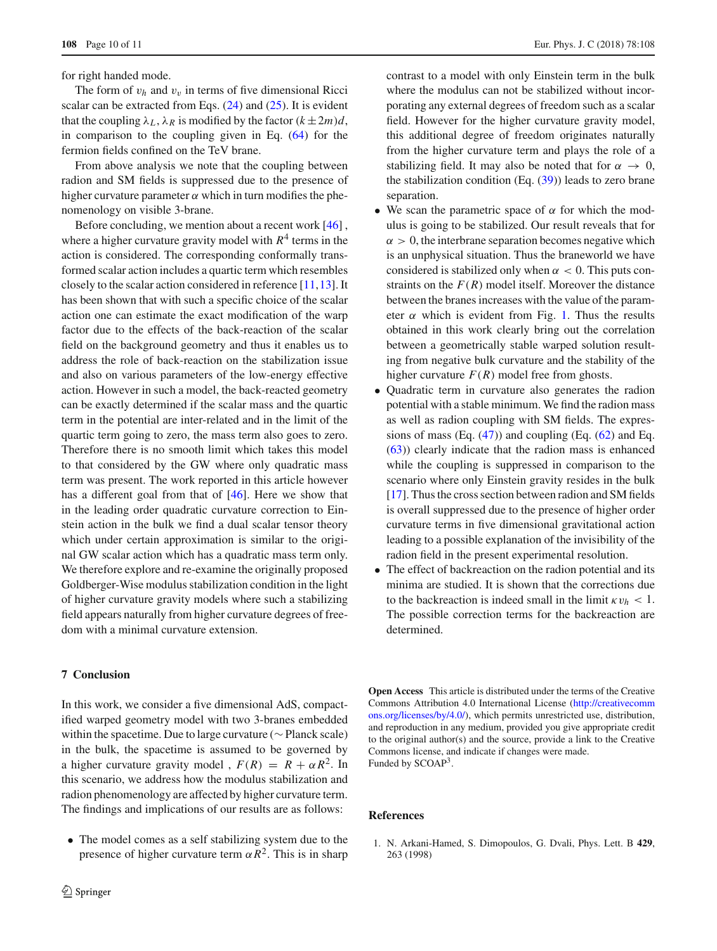for right handed mode.

The form of  $v_h$  and  $v_v$  in terms of five dimensional Ricci scalar can be extracted from Eqs. [\(24\)](#page-4-1) and [\(25\)](#page-4-2). It is evident that the coupling  $\lambda_L$ ,  $\lambda_R$  is modified by the factor  $(k \pm 2m)d$ , in comparison to the coupling given in Eq. [\(64\)](#page-8-1) for the fermion fields confined on the TeV brane.

From above analysis we note that the coupling between radion and SM fields is suppressed due to the presence of higher curvature parameter  $\alpha$  which in turn modifies the phenomenology on visible 3-brane.

Before concluding, we mention about a recent work [\[46](#page-10-22)] , where a higher curvature gravity model with  $R<sup>4</sup>$  terms in the action is considered. The corresponding conformally transformed scalar action includes a quartic term which resembles closely to the scalar action considered in reference [\[11](#page-10-23),[13](#page-10-24)]. It has been shown that with such a specific choice of the scalar action one can estimate the exact modification of the warp factor due to the effects of the back-reaction of the scalar field on the background geometry and thus it enables us to address the role of back-reaction on the stabilization issue and also on various parameters of the low-energy effective action. However in such a model, the back-reacted geometry can be exactly determined if the scalar mass and the quartic term in the potential are inter-related and in the limit of the quartic term going to zero, the mass term also goes to zero. Therefore there is no smooth limit which takes this model to that considered by the GW where only quadratic mass term was present. The work reported in this article however has a different goal from that of [\[46\]](#page-10-22). Here we show that in the leading order quadratic curvature correction to Einstein action in the bulk we find a dual scalar tensor theory which under certain approximation is similar to the original GW scalar action which has a quadratic mass term only. We therefore explore and re-examine the originally proposed Goldberger-Wise modulus stabilization condition in the light of higher curvature gravity models where such a stabilizing field appears naturally from higher curvature degrees of freedom with a minimal curvature extension.

### <span id="page-9-1"></span>**7 Conclusion**

In this work, we consider a five dimensional AdS, compactified warped geometry model with two 3-branes embedded within the spacetime. Due to large curvature (∼ Planck scale) in the bulk, the spacetime is assumed to be governed by a higher curvature gravity model,  $F(R) = R + \alpha R^2$ . In this scenario, we address how the modulus stabilization and radion phenomenology are affected by higher curvature term. The findings and implications of our results are as follows:

• The model comes as a self stabilizing system due to the presence of higher curvature term  $\alpha R^2$ . This is in sharp

contrast to a model with only Einstein term in the bulk where the modulus can not be stabilized without incorporating any external degrees of freedom such as a scalar field. However for the higher curvature gravity model, this additional degree of freedom originates naturally from the higher curvature term and plays the role of a stabilizing field. It may also be noted that for  $\alpha \to 0$ , the stabilization condition  $(Eq. (39))$  $(Eq. (39))$  $(Eq. (39))$  leads to zero brane separation.

- We scan the parametric space of  $\alpha$  for which the modulus is going to be stabilized. Our result reveals that for  $\alpha > 0$ , the interbrane separation becomes negative which is an unphysical situation. Thus the braneworld we have considered is stabilized only when  $\alpha < 0$ . This puts constraints on the  $F(R)$  model itself. Moreover the distance between the branes increases with the value of the parameter  $\alpha$  which is evident from Fig. [1.](#page-6-0) Thus the results obtained in this work clearly bring out the correlation between a geometrically stable warped solution resulting from negative bulk curvature and the stability of the higher curvature  $F(R)$  model free from ghosts.
- Quadratic term in curvature also generates the radion potential with a stable minimum. We find the radion mass as well as radion coupling with SM fields. The expressions of mass (Eq.  $(47)$ ) and coupling (Eq.  $(62)$  and Eq. [\(63\)](#page-8-3)) clearly indicate that the radion mass is enhanced while the coupling is suppressed in comparison to the scenario where only Einstein gravity resides in the bulk [\[17](#page-10-3)]. Thus the cross section between radion and SM fields is overall suppressed due to the presence of higher order curvature terms in five dimensional gravitational action leading to a possible explanation of the invisibility of the radion field in the present experimental resolution.
- The effect of backreaction on the radion potential and its minima are studied. It is shown that the corrections due to the backreaction is indeed small in the limit  $\kappa v_h < 1$ . The possible correction terms for the backreaction are determined.

**Open Access** This article is distributed under the terms of the Creative Commons Attribution 4.0 International License [\(http://creativecomm](http://creativecommons.org/licenses/by/4.0/) [ons.org/licenses/by/4.0/\)](http://creativecommons.org/licenses/by/4.0/), which permits unrestricted use, distribution, and reproduction in any medium, provided you give appropriate credit to the original author(s) and the source, provide a link to the Creative Commons license, and indicate if changes were made. Funded by SCOAP<sup>3</sup>.

## **References**

<span id="page-9-0"></span>1. N. Arkani-Hamed, S. Dimopoulos, G. Dvali, Phys. Lett. B **429**, 263 (1998)